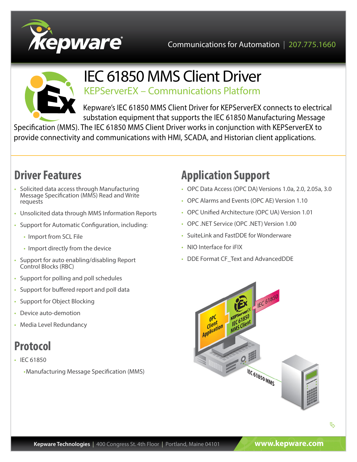



# IEC 61850 MMS Client Driver

KEPServerEX – Communications Platform

Kepware's IEC 61850 MMS Client Driver for KEPServerEX connects to electrical substation equipment that supports the IEC 61850 Manufacturing Message

Specification (MMS). The IEC 61850 MMS Client Driver works in conjunction with KEPServerEX to provide connectivity and communications with HMI, SCADA, and Historian client applications.

# **Driver Features**

- Solicited data access through Manufacturing Message Specification (MMS) Read and Write requests
- Unsolicited data through MMS Information Reports
- Support for Automatic Configuration, including:
	- Import from SCL File
	- • Import directly from the device
- Support for auto enabling/disabling Report Control Blocks (RBC)
- Support for polling and poll schedules
- Support for buffered report and poll data
- Support for Object Blocking
- Device auto-demotion
- Media Level Redundancy

## **Protocol**

- IEC 61850
	- •Manufacturing Message Specification (MMS)

# **Application Support**

- OPC Data Access (OPC DA) Versions 1.0a, 2.0, 2.05a, 3.0
- OPC Alarms and Events (OPC AE) Version 1.10
- OPC Unified Architecture (OPC UA) Version 1.01
- OPC .NET Service (OPC .NET) Version 1.00
- SuiteLink and FastDDF for Wonderware
- NIO Interface for iFIX
- DDE Format CF\_Text and AdvancedDDE